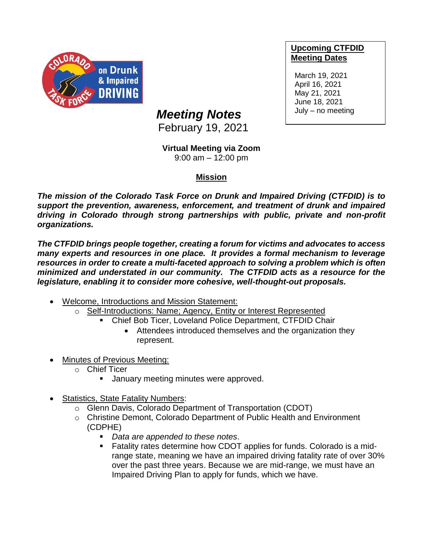

## **Upcoming CTFDID Meeting Dates**

March 19, 2021 April 16, 2021 May 21, 2021 June 18, 2021 July – no meeting

## *Meeting Notes*

February 19, 2021

## **Virtual Meeting via Zoom**

9:00 am – 12:00 pm

## **Mission**

*The mission of the Colorado Task Force on Drunk and Impaired Driving (CTFDID) is to support the prevention, awareness, enforcement, and treatment of drunk and impaired driving in Colorado through strong partnerships with public, private and non-profit organizations.* 

*The CTFDID brings people together, creating a forum for victims and advocates to access many experts and resources in one place. It provides a formal mechanism to leverage resources in order to create a multi-faceted approach to solving a problem which is often minimized and understated in our community. The CTFDID acts as a resource for the legislature, enabling it to consider more cohesive, well-thought-out proposals.* 

- Welcome, Introductions and Mission Statement:
	- o Self-Introductions: Name; Agency, Entity or Interest Represented
		- Chief Bob Ticer, Loveland Police Department, CTFDID Chair
			- Attendees introduced themselves and the organization they represent.
- **Minutes of Previous Meeting:** 
	- o Chief Ticer
		- January meeting minutes were approved.
- Statistics, State Fatality Numbers:
	- o Glenn Davis, Colorado Department of Transportation (CDOT)
	- o Christine Demont, Colorado Department of Public Health and Environment (CDPHE)
		- *Data are appended to these notes*.
		- Fatality rates determine how CDOT applies for funds. Colorado is a midrange state, meaning we have an impaired driving fatality rate of over 30% over the past three years. Because we are mid-range, we must have an Impaired Driving Plan to apply for funds, which we have.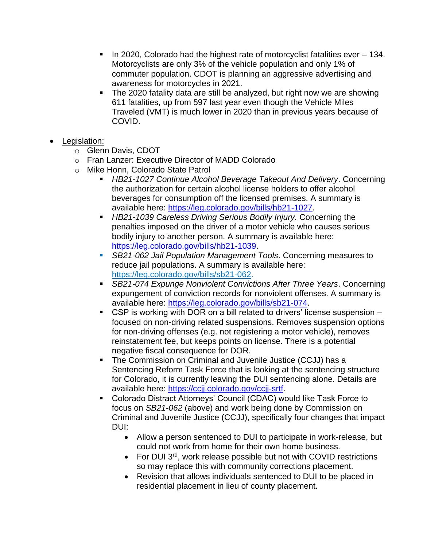- In 2020, Colorado had the highest rate of motorcyclist fatalities ever 134. Motorcyclists are only 3% of the vehicle population and only 1% of commuter population. CDOT is planning an aggressive advertising and awareness for motorcycles in 2021.
- The 2020 fatality data are still be analyzed, but right now we are showing 611 fatalities, up from 597 last year even though the Vehicle Miles Traveled (VMT) is much lower in 2020 than in previous years because of COVID.
- Legislation:
	- o Glenn Davis, CDOT
	- o Fran Lanzer: Executive Director of MADD Colorado
	- o Mike Honn, Colorado State Patrol
		- *HB21-1027 Continue Alcohol Beverage Takeout And Delivery*. Concerning the authorization for certain alcohol license holders to offer alcohol beverages for consumption off the licensed premises. A summary is available here: [https://leg.colorado.gov/bills/hb21-1027.](https://leg.colorado.gov/bills/hb21-1027)
		- **EXTERGHIFF And** *HB21-1039 Careless Driving Serious Bodily Injury.* **Concerning the** penalties imposed on the driver of a motor vehicle who causes serious bodily injury to another person. A summary is available here: [https://leg.colorado.gov/bills/hb21-1039.](https://leg.colorado.gov/bills/hb21-1039)
		- *SB21-062 Jail Population Management Tools.* **Concerning measures to** reduce jail populations. A summary is available here: [https://leg.colorado.gov/bills/sb21-062.](https://leg.colorado.gov/bills/sb21-062)
		- **SB21-074 Expunge Nonviolent Convictions After Three Years. Concerning** expungement of conviction records for nonviolent offenses. A summary is available here: [https://leg.colorado.gov/bills/sb21-074.](https://leg.colorado.gov/bills/sb21-074)
		- CSP is working with DOR on a bill related to drivers' license suspension focused on non-driving related suspensions. Removes suspension options for non-driving offenses (e.g. not registering a motor vehicle), removes reinstatement fee, but keeps points on license. There is a potential negative fiscal consequence for DOR.
		- The Commission on Criminal and Juvenile Justice (CCJJ) has a Sentencing Reform Task Force that is looking at the sentencing structure for Colorado, it is currently leaving the DUI sentencing alone. Details are available here: [https://ccjj.colorado.gov/ccjj-srtf.](https://ccjj.colorado.gov/ccjj-srtf)
		- Colorado Distract Attorneys' Council (CDAC) would like Task Force to focus on *SB21-062* (above) and work being done by Commission on Criminal and Juvenile Justice (CCJJ), specifically four changes that impact DUI:
			- Allow a person sentenced to DUI to participate in work-release, but could not work from home for their own home business.
			- For DUI 3<sup>rd</sup>, work release possible but not with COVID restrictions so may replace this with community corrections placement.
			- Revision that allows individuals sentenced to DUI to be placed in residential placement in lieu of county placement.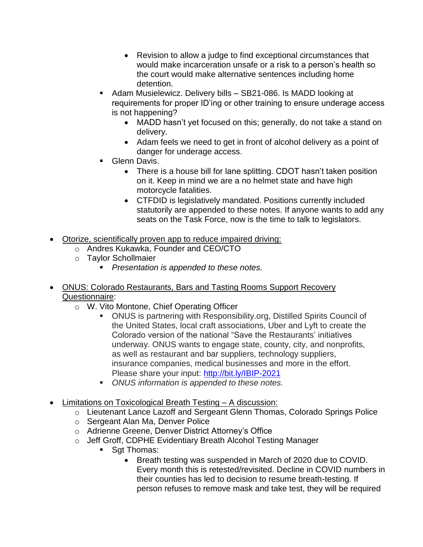- Revision to allow a judge to find exceptional circumstances that would make incarceration unsafe or a risk to a person's health so the court would make alternative sentences including home detention.
- Adam Musielewicz. Delivery bills SB21-086. Is MADD looking at requirements for proper ID'ing or other training to ensure underage access is not happening?
	- MADD hasn't yet focused on this; generally, do not take a stand on delivery.
	- Adam feels we need to get in front of alcohol delivery as a point of danger for underage access.
- Glenn Davis.
	- There is a house bill for lane splitting. CDOT hasn't taken position on it. Keep in mind we are a no helmet state and have high motorcycle fatalities.
	- CTFDID is legislatively mandated. Positions currently included statutorily are appended to these notes. If anyone wants to add any seats on the Task Force, now is the time to talk to legislators.
- Otorize, scientifically proven app to reduce impaired driving:
	- o Andres Kukawka, Founder and CEO/CTO
	- o Taylor Schollmaier
		- *Presentation is appended to these notes.*
- ONUS: Colorado Restaurants, Bars and Tasting Rooms Support Recovery Questionnaire:
	- o W. Vito Montone, Chief Operating Officer
		- ONUS is partnering with Responsibility.org, Distilled Spirits Council of the United States, local craft associations, Uber and Lyft to create the Colorado version of the national "Save the Restaurants' initiatives underway. ONUS wants to engage state, county, city, and nonprofits, as well as restaurant and bar suppliers, technology suppliers, insurance companies, medical businesses and more in the effort. Please share your input:<http://bit.ly/IBIP-2021>
		- ONUS information is appended to these notes.
- Limitations on Toxicological Breath Testing A discussion:
	- o Lieutenant Lance Lazoff and Sergeant Glenn Thomas, Colorado Springs Police
	- o Sergeant Alan Ma, Denver Police
	- o Adrienne Greene, Denver District Attorney's Office
	- o Jeff Groff, CDPHE Evidentiary Breath Alcohol Testing Manager
		- Sat Thomas:
			- Breath testing was suspended in March of 2020 due to COVID. Every month this is retested/revisited. Decline in COVID numbers in their counties has led to decision to resume breath-testing. If person refuses to remove mask and take test, they will be required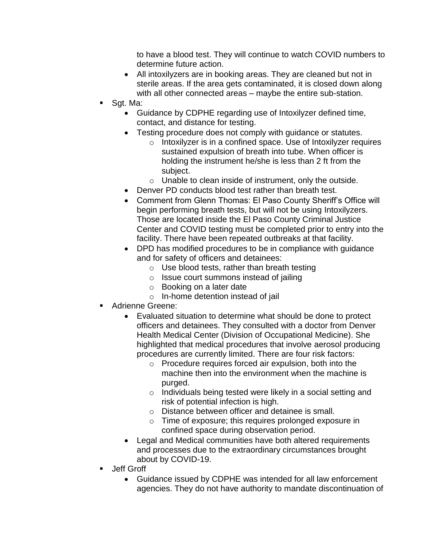to have a blood test. They will continue to watch COVID numbers to determine future action.

- All intoxilyzers are in booking areas. They are cleaned but not in sterile areas. If the area gets contaminated, it is closed down along with all other connected areas – maybe the entire sub-station.
- Sgt. Ma:
	- Guidance by CDPHE regarding use of Intoxilyzer defined time, contact, and distance for testing.
	- Testing procedure does not comply with guidance or statutes.
		- o Intoxilyzer is in a confined space. Use of Intoxilyzer requires sustained expulsion of breath into tube. When officer is holding the instrument he/she is less than 2 ft from the subject.
		- $\circ$  Unable to clean inside of instrument, only the outside.
	- Denver PD conducts blood test rather than breath test.
	- Comment from Glenn Thomas: El Paso County Sheriff's Office will begin performing breath tests, but will not be using Intoxilyzers. Those are located inside the El Paso County Criminal Justice Center and COVID testing must be completed prior to entry into the facility. There have been repeated outbreaks at that facility.
	- DPD has modified procedures to be in compliance with guidance and for safety of officers and detainees:
		- $\circ$  Use blood tests, rather than breath testing
		- o Issue court summons instead of jailing
		- o Booking on a later date
		- o In-home detention instead of jail
- Adrienne Greene:
	- Evaluated situation to determine what should be done to protect officers and detainees. They consulted with a doctor from Denver Health Medical Center (Division of Occupational Medicine). She highlighted that medical procedures that involve aerosol producing procedures are currently limited. There are four risk factors:
		- o Procedure requires forced air expulsion, both into the machine then into the environment when the machine is purged.
		- o Individuals being tested were likely in a social setting and risk of potential infection is high.
		- o Distance between officer and detainee is small.
		- o Time of exposure; this requires prolonged exposure in confined space during observation period.
	- Legal and Medical communities have both altered requirements and processes due to the extraordinary circumstances brought about by COVID-19.
- Jeff Groff
	- Guidance issued by CDPHE was intended for all law enforcement agencies. They do not have authority to mandate discontinuation of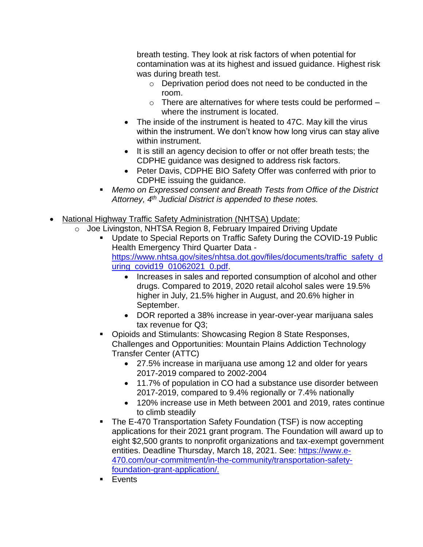breath testing. They look at risk factors of when potential for contamination was at its highest and issued guidance. Highest risk was during breath test.

- o Deprivation period does not need to be conducted in the room.
- $\circ$  There are alternatives for where tests could be performed  $$ where the instrument is located.
- The inside of the instrument is heated to 47C. May kill the virus within the instrument. We don't know how long virus can stay alive within instrument.
- It is still an agency decision to offer or not offer breath tests; the CDPHE guidance was designed to address risk factors.
- Peter Davis, CDPHE BIO Safety Offer was conferred with prior to CDPHE issuing the guidance.
- Memo on Expressed consent and Breath Tests from Office of the District *Attorney, 4th Judicial District is appended to these notes.*
- National Highway Traffic Safety Administration (NHTSA) Update:
	- o Joe Livingston, NHTSA Region 8, February Impaired Driving Update
		- Update to Special Reports on Traffic Safety During the COVID-19 Public Health Emergency Third Quarter Data [https://www.nhtsa.gov/sites/nhtsa.dot.gov/files/documents/traffic\\_safety\\_d](https://www.nhtsa.gov/sites/nhtsa.dot.gov/files/documents/traffic_safety_during_covid19_01062021_0.pdf) [uring\\_covid19\\_01062021\\_0.pdf.](https://www.nhtsa.gov/sites/nhtsa.dot.gov/files/documents/traffic_safety_during_covid19_01062021_0.pdf)
			- Increases in sales and reported consumption of alcohol and other drugs. Compared to 2019, 2020 retail alcohol sales were 19.5% higher in July, 21.5% higher in August, and 20.6% higher in September.
			- DOR reported a 38% increase in year-over-year marijuana sales tax revenue for Q3;
		- Opioids and Stimulants: Showcasing Region 8 State Responses, Challenges and Opportunities: Mountain Plains Addiction Technology Transfer Center (ATTC)
			- 27.5% increase in marijuana use among 12 and older for years 2017-2019 compared to 2002-2004
			- 11.7% of population in CO had a substance use disorder between 2017-2019, compared to 9.4% regionally or 7.4% nationally
			- 120% increase use in Meth between 2001 and 2019, rates continue to climb steadily
		- The E-470 Transportation Safety Foundation (TSF) is now accepting applications for their 2021 grant program. The Foundation will award up to eight \$2,500 grants to nonprofit organizations and tax-exempt government entities. Deadline Thursday, March 18, 2021. See: [https://www.e-](https://www.e-470.com/our-commitment/in-the-community/transportation-safety-foundation-grant-application/)[470.com/our-commitment/in-the-community/transportation-safety](https://www.e-470.com/our-commitment/in-the-community/transportation-safety-foundation-grant-application/)[foundation-grant-application/](https://www.e-470.com/our-commitment/in-the-community/transportation-safety-foundation-grant-application/).
		- Events